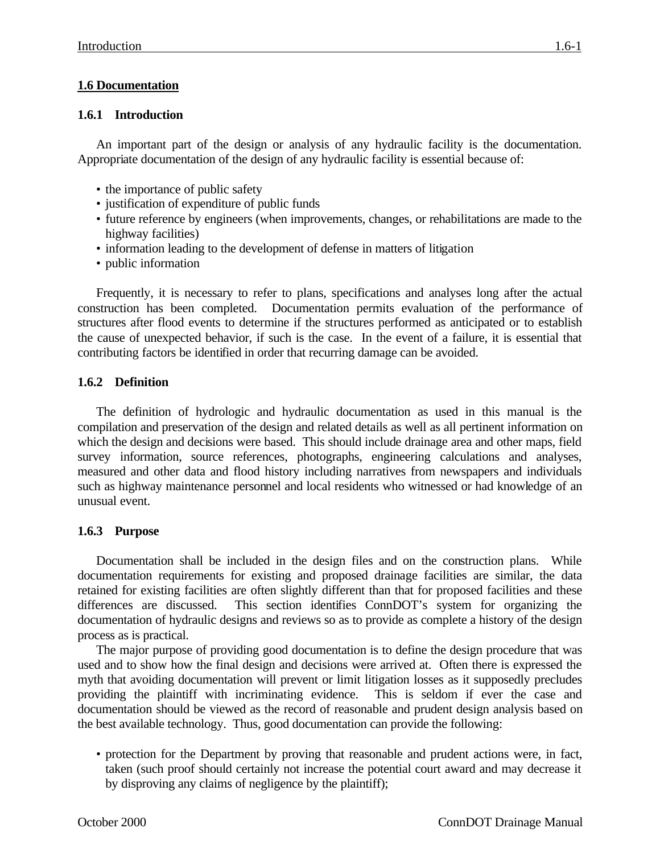# **1.6 Documentation**

## **1.6.1 Introduction**

An important part of the design or analysis of any hydraulic facility is the documentation. Appropriate documentation of the design of any hydraulic facility is essential because of:

- the importance of public safety
- justification of expenditure of public funds
- future reference by engineers (when improvements, changes, or rehabilitations are made to the highway facilities)
- information leading to the development of defense in matters of litigation
- public information

Frequently, it is necessary to refer to plans, specifications and analyses long after the actual construction has been completed. Documentation permits evaluation of the performance of structures after flood events to determine if the structures performed as anticipated or to establish the cause of unexpected behavior, if such is the case. In the event of a failure, it is essential that contributing factors be identified in order that recurring damage can be avoided.

## **1.6.2 Definition**

The definition of hydrologic and hydraulic documentation as used in this manual is the compilation and preservation of the design and related details as well as all pertinent information on which the design and decisions were based. This should include drainage area and other maps, field survey information, source references, photographs, engineering calculations and analyses, measured and other data and flood history including narratives from newspapers and individuals such as highway maintenance personnel and local residents who witnessed or had knowledge of an unusual event.

## **1.6.3 Purpose**

Documentation shall be included in the design files and on the construction plans. While documentation requirements for existing and proposed drainage facilities are similar, the data retained for existing facilities are often slightly different than that for proposed facilities and these differences are discussed. This section identifies ConnDOT's system for organizing the documentation of hydraulic designs and reviews so as to provide as complete a history of the design process as is practical.

The major purpose of providing good documentation is to define the design procedure that was used and to show how the final design and decisions were arrived at. Often there is expressed the myth that avoiding documentation will prevent or limit litigation losses as it supposedly precludes providing the plaintiff with incriminating evidence. This is seldom if ever the case and documentation should be viewed as the record of reasonable and prudent design analysis based on the best available technology. Thus, good documentation can provide the following:

• protection for the Department by proving that reasonable and prudent actions were, in fact, taken (such proof should certainly not increase the potential court award and may decrease it by disproving any claims of negligence by the plaintiff);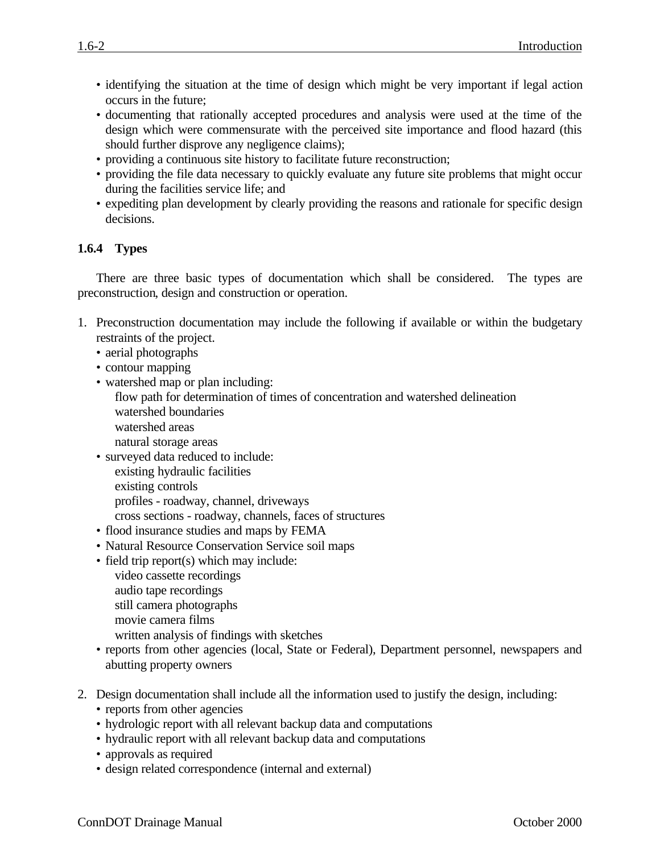- identifying the situation at the time of design which might be very important if legal action occurs in the future;
- documenting that rationally accepted procedures and analysis were used at the time of the design which were commensurate with the perceived site importance and flood hazard (this should further disprove any negligence claims);
- providing a continuous site history to facilitate future reconstruction;
- providing the file data necessary to quickly evaluate any future site problems that might occur during the facilities service life; and
- expediting plan development by clearly providing the reasons and rationale for specific design decisions.

#### **1.6.4 Types**

There are three basic types of documentation which shall be considered. The types are preconstruction, design and construction or operation.

- 1. Preconstruction documentation may include the following if available or within the budgetary restraints of the project.
	- aerial photographs
	- contour mapping
	- watershed map or plan including: flow path for determination of times of concentration and watershed delineation watershed boundaries watershed areas natural storage areas
	- surveyed data reduced to include: existing hydraulic facilities existing controls profiles - roadway, channel, driveways cross sections - roadway, channels, faces of structures
	- flood insurance studies and maps by FEMA
	- Natural Resource Conservation Service soil maps
	- field trip report(s) which may include: video cassette recordings audio tape recordings still camera photographs movie camera films
		- written analysis of findings with sketches
	- reports from other agencies (local, State or Federal), Department personnel, newspapers and abutting property owners
- 2. Design documentation shall include all the information used to justify the design, including: • reports from other agencies
	- hydrologic report with all relevant backup data and computations
	- hydraulic report with all relevant backup data and computations
	- approvals as required
	- design related correspondence (internal and external)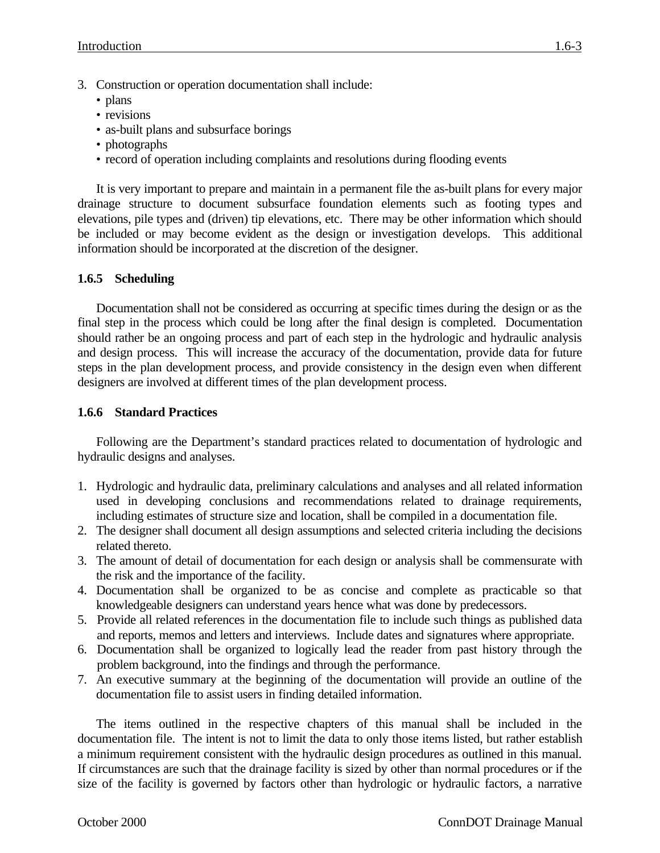- 3. Construction or operation documentation shall include:
	- plans
	- revisions
	- as-built plans and subsurface borings
	- photographs
	- record of operation including complaints and resolutions during flooding events

It is very important to prepare and maintain in a permanent file the as-built plans for every major drainage structure to document subsurface foundation elements such as footing types and elevations, pile types and (driven) tip elevations, etc. There may be other information which should be included or may become evident as the design or investigation develops. This additional information should be incorporated at the discretion of the designer.

#### **1.6.5 Scheduling**

Documentation shall not be considered as occurring at specific times during the design or as the final step in the process which could be long after the final design is completed. Documentation should rather be an ongoing process and part of each step in the hydrologic and hydraulic analysis and design process. This will increase the accuracy of the documentation, provide data for future steps in the plan development process, and provide consistency in the design even when different designers are involved at different times of the plan development process.

#### **1.6.6 Standard Practices**

Following are the Department's standard practices related to documentation of hydrologic and hydraulic designs and analyses.

- 1. Hydrologic and hydraulic data, preliminary calculations and analyses and all related information used in developing conclusions and recommendations related to drainage requirements, including estimates of structure size and location, shall be compiled in a documentation file.
- 2. The designer shall document all design assumptions and selected criteria including the decisions related thereto.
- 3. The amount of detail of documentation for each design or analysis shall be commensurate with the risk and the importance of the facility.
- 4. Documentation shall be organized to be as concise and complete as practicable so that knowledgeable designers can understand years hence what was done by predecessors.
- 5. Provide all related references in the documentation file to include such things as published data and reports, memos and letters and interviews. Include dates and signatures where appropriate.
- 6. Documentation shall be organized to logically lead the reader from past history through the problem background, into the findings and through the performance.
- 7. An executive summary at the beginning of the documentation will provide an outline of the documentation file to assist users in finding detailed information.

The items outlined in the respective chapters of this manual shall be included in the documentation file. The intent is not to limit the data to only those items listed, but rather establish a minimum requirement consistent with the hydraulic design procedures as outlined in this manual. If circumstances are such that the drainage facility is sized by other than normal procedures or if the size of the facility is governed by factors other than hydrologic or hydraulic factors, a narrative